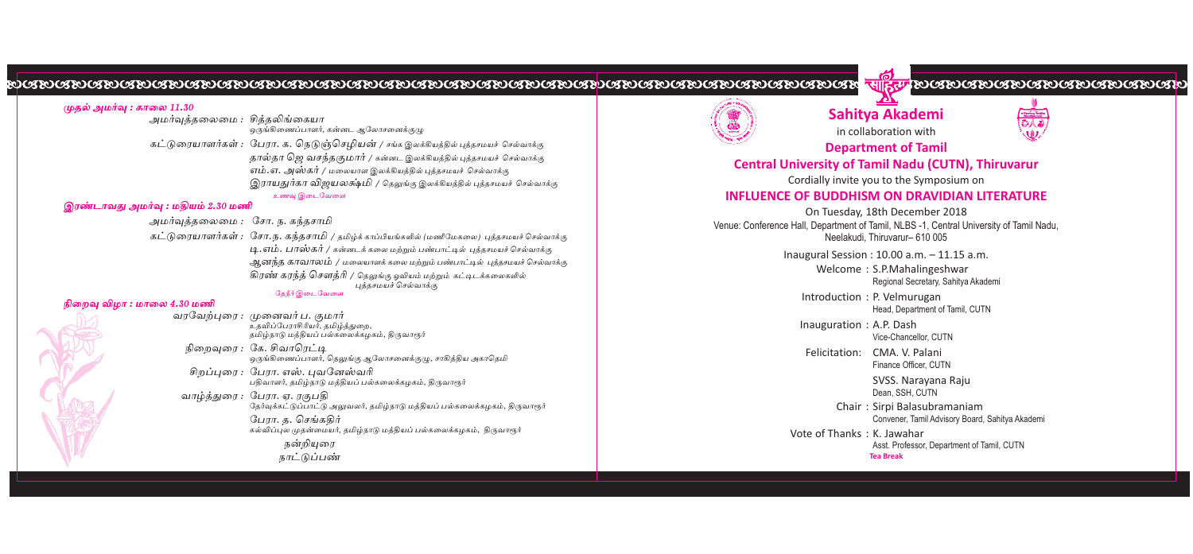#### முதல் அமர்வு : காலை 11.30 அமர்வத்தலைமை : சித்தலிங்கையா ஒருங்கிணைப்பாளர், கன்னட ஆலோசனைக்குமு கட்டுரையாளர்கள் : பேரா. க. நெடுஞ்செழியன் / சங்க இலக்கியத்தில் புத்தசமயச் செல்வாக்கு தால்தா ஜெ வசந்தகுமார் / கன்னட இலக்கியத்தில் புத்தசமயச் செல்வாக்கு எம்.எ. அஸ்கர் / மலையாள இலக்கியத்தில் புத்தசமயச் செல்வாக்கு இராயதுர்கா விஜயலக்ஷ்மி / தெலுங்கு இலக்கியத்தில் புத்தசமயச் செல்வாக்கு உணவு இடைவேளை இரண்டாவது அமர்வு : மதியம் 2.30 மணி அமர்வுத்தலைமை : சோ. ந. கந்தசாமி கட்டுரையாளர்கள் : சோ.ந. கந்தசாமி / தமிழ்க் காப்பியங்களில் (மணிமேகலை) புத்தசமயச்செல்வாக்கு <u> ப</u>ி. எம். பாஸ்கர் / கன்னடக்கலை மற்றும் பண்பாட்டில் பத்தசமயச் செல்வாக்கு ஆனந்த காவாலம் / மலையாளக் கலை மற்றும் பண்பாட்டில் புத்தசமயச் செல்வாக்கு கிரண் கரந்த் சௌத்ரி / தெலுங்கு ஓவியம் மற்றும் கட்டிடக்கலைகளில் புத்தசமயச் செல்வாக்கு கேநீர் வெடவேளை நிறைவு விழா : மாலை 4.30 மணி வாவேற்பரை : முனைவர்ப, குமார் ு<br>உதவிப்பேராசிரியர், தமிம்த்துறை, நிறைவரை : கே. சிவாரெட்டி <sub>ஒரு</sub>ங்கிணைப்பாளர், தெலுங்கு ஆலோசனைக்குழு, சாகித்திய அகாதெமி சிறப்பரை : போர. எஸ். பவனேஸ்வரி .<br>பதிவாளர், தமிழ்நாடு மத்தியப் பல்கலைக்கழகம், திருவாரூர் வாழ்த்துரை : பேரா. ஏ. ரகுபகி தேர்வுக்கட்டுப்பாட்டு அலுவலர், தமிழ்நாடு மத்தியப் பல்கலைக்கழகம், திருவாரூர் பேரா. க. செங்ககிர் .<br>கல்விப்புல முதன்மையர், தமிழ்நாடு மத்தியப் பல்கலைக்கழகம், திருவாரூர் நன்றியுரை நாட்டுப்பண்



## Sahitya Akademi in collaboration with



<u>HIGH BOCBOCBOCBOCBOCBOCBOCBOCBO</u>

**Department of Tamil** 

**Central University of Tamil Nadu (CUTN), Thiruvarur** 

#### Cordially invite you to the Symposium on

#### INFLUENCE OF BUDDHISM ON DRAVIDIAN LITERATURE

On Tuesday, 18th December 2018 Venue: Conference Hall, Department of Tamil, NLBS -1, Central University of Tamil Nadu. Neelakudi. Thiruvarur- 610 005

Inaugural Session: 10.00 a.m. - 11.15 a.m.

Welcome: S.P.Mahalingeshwar Regional Secretary, Sahitya Akademi

Introduction: P. Velmurugan Head, Department of Tamil, CUTN

Inauguration: A.P. Dash

Vice-Chancellor, CUTN

Felicitation: CMA, V. Palani Finance Officer, CUTN

> SVSS. Narayana Raju Dean, SSH, CUTN

Chair: Sirpi Balasubramaniam Convener, Tamil Advisory Board, Sahitya Akademi

Vote of Thanks: K. Jawahar Asst. Professor, Department of Tamil, CUTN **Tea Break** 

###